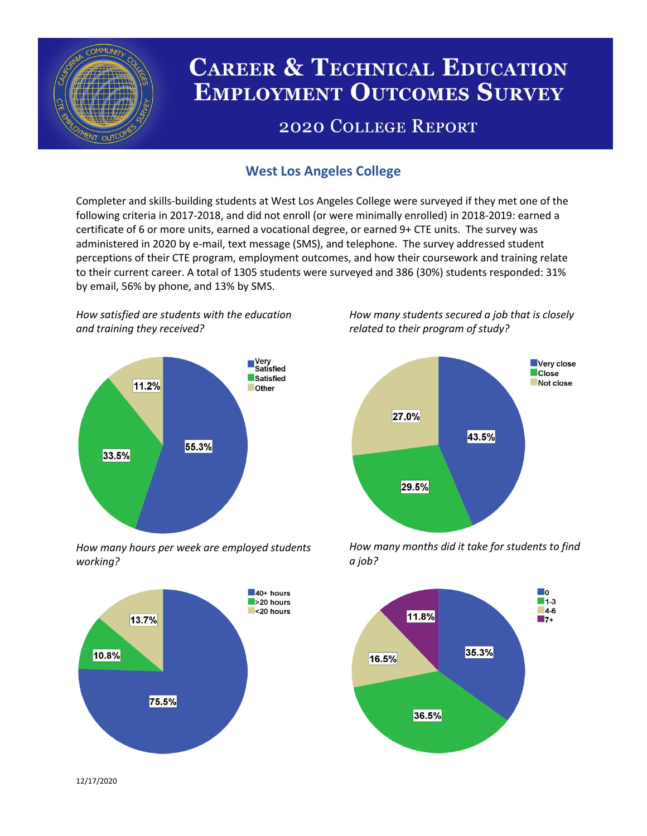

# **CAREER & TECHNICAL EDUCATION EMPLOYMENT OUTCOMES SURVEY**

## **2020 COLLEGE REPORT**

## **West Los Angeles College**

Completer and skills-building students at West Los Angeles College were surveyed if they met one of the following criteria in 2017-2018, and did not enroll (or were minimally enrolled) in 2018-2019: earned a certificate of 6 or more units, earned a vocational degree, or earned 9+ CTE units. The survey was administered in 2020 by e-mail, text message (SMS), and telephone. The survey addressed student perceptions of their CTE program, employment outcomes, and how their coursework and training relate to their current career. A total of 1305 students were surveyed and 386 (30%) students responded: 31% by email, 56% by phone, and 13% by SMS.

*How satisfied are students with the education and training they received?*



*How many hours per week are employed students working?*



*How many students secured a job that is closely related to their program of study?*



*How many months did it take for students to find a job?*



12/17/2020